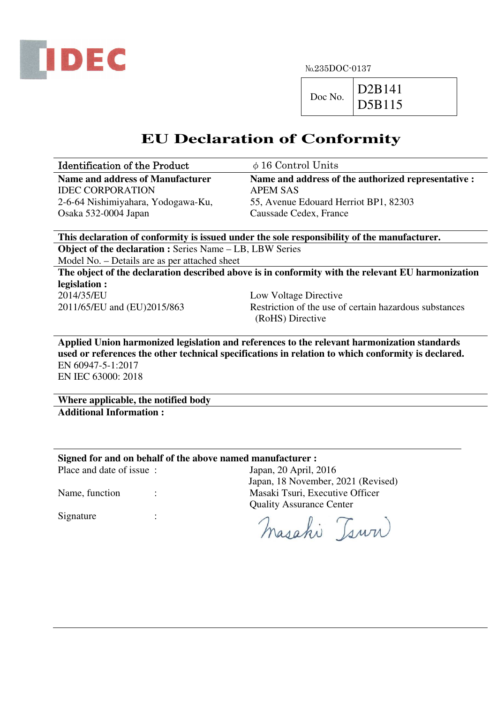

 $Doc No.$  D2B141 D5B115

# **EU Declaration of Conformity**

| <b>Identification of the Product</b> | $\phi$ 16 Control Units                             |
|--------------------------------------|-----------------------------------------------------|
| Name and address of Manufacturer     | Name and address of the authorized representative : |
| <b>IDEC CORPORATION</b>              | APEM SAS                                            |
| 2-6-64 Nishimiyahara, Yodogawa-Ku,   | 55, Avenue Edouard Herriot BP1, 82303               |
| Osaka 532-0004 Japan                 | Caussade Cedex, France                              |

**This declaration of conformity is issued under the sole responsibility of the manufacturer. Object of the declaration :** Series Name – LB, LBW Series

Model No. – Details are as per attached sheet

**The object of the declaration described above is in conformity with the relevant EU harmonization legislation :** 

2014/35/EU Low Voltage Directive

2011/65/EU and (EU)2015/863 Restriction of the use of certain hazardous substances (RoHS) Directive

**Applied Union harmonized legislation and references to the relevant harmonization standards used or references the other technical specifications in relation to which conformity is declared.**  EN 60947-5-1:2017 EN IEC 63000: 2018

**Where applicable, the notified body Additional Information :** 

**Signed for and on behalf of the above named manufacturer :** 

Place and date of issue : Japan, 20 April, 2016

Name, function : Masaki Tsuri, Executive Officer

Signature :

 Quality Assurance Center masahi Tsuri

Japan, 18 November, 2021 (Revised)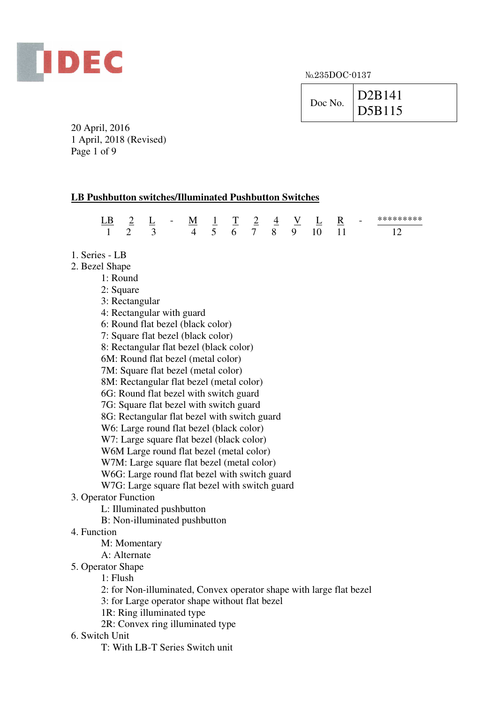

| Doc No. | D <sub>2</sub> B <sub>141</sub> |
|---------|---------------------------------|
|         | <sup>1</sup> D5B115             |

20 April, 2016 1 April, 2018 (Revised) Page 1 of 9

# **LB Pushbutton switches/Illuminated Pushbutton Switches**

|  | $\sim$ | $\sim$ 7 I. $\sim$ 7<br>__ |                | $\sim$ | <u>__</u> | $\sim$ | M 1 T 2 4 V L R<br>$\overline{\phantom{a}}$ | $\sim$ | $\overline{\phantom{0}}$ |  |
|--|--------|----------------------------|----------------|--------|-----------|--------|---------------------------------------------|--------|--------------------------|--|
|  |        |                            | 4 5 6 7 8 9 10 |        |           |        |                                             |        |                          |  |

- 1. Series LB
- 2. Bezel Shape
	- 1: Round
	- 2: Square
	- 3: Rectangular
	- 4: Rectangular with guard
	- 6: Round flat bezel (black color)
	- 7: Square flat bezel (black color)
	- 8: Rectangular flat bezel (black color)
	- 6M: Round flat bezel (metal color)
	- 7M: Square flat bezel (metal color)
	- 8M: Rectangular flat bezel (metal color)
	- 6G: Round flat bezel with switch guard
	- 7G: Square flat bezel with switch guard
	- 8G: Rectangular flat bezel with switch guard
	- W6: Large round flat bezel (black color)
	- W7: Large square flat bezel (black color)
	- W6M Large round flat bezel (metal color)
	- W7M: Large square flat bezel (metal color)
	- W6G: Large round flat bezel with switch guard
	- W7G: Large square flat bezel with switch guard

# 3. Operator Function

- L: Illuminated pushbutton
- B: Non-illuminated pushbutton
- 4. Function
	- M: Momentary
	- A: Alternate
- 5. Operator Shape
	- 1: Flush
	- 2: for Non-illuminated, Convex operator shape with large flat bezel
	- 3: for Large operator shape without flat bezel
	- 1R: Ring illuminated type
	- 2R: Convex ring illuminated type

# 6. Switch Unit

T: With LB-T Series Switch unit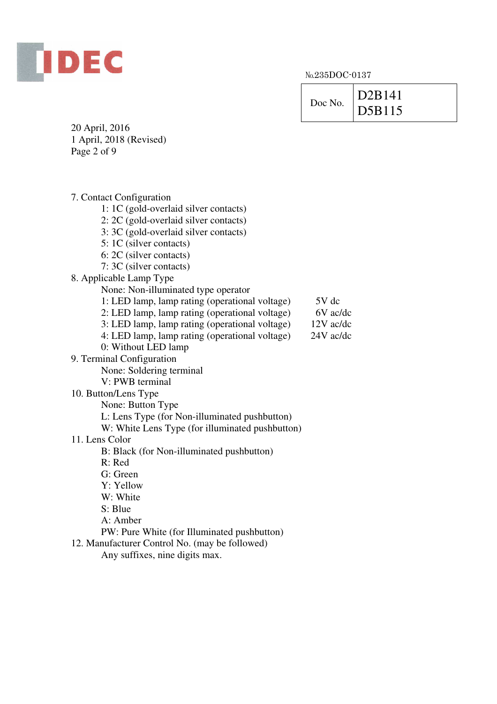

| Doc No. | D <sub>2</sub> B <sub>141</sub> |
|---------|---------------------------------|
|         | D5B115                          |

20 April, 2016 1 April, 2018 (Revised) Page 2 of 9

7. Contact Configuration 1: 1C (gold-overlaid silver contacts) 2: 2C (gold-overlaid silver contacts) 3: 3C (gold-overlaid silver contacts) 5: 1C (silver contacts) 6: 2C (silver contacts) 7: 3C (silver contacts) 8. Applicable Lamp Type None: Non-illuminated type operator 1: LED lamp, lamp rating (operational voltage) 5V dc 2: LED lamp, lamp rating (operational voltage) 6V ac/dc 3: LED lamp, lamp rating (operational voltage) 12V ac/dc 4: LED lamp, lamp rating (operational voltage) 24V ac/dc 0: Without LED lamp 9. Terminal Configuration None: Soldering terminal V: PWB terminal 10. Button/Lens Type None: Button Type L: Lens Type (for Non-illuminated pushbutton) W: White Lens Type (for illuminated pushbutton) 11. Lens Color B: Black (for Non-illuminated pushbutton) R: Red G: Green Y: Yellow W: White S: Blue A: Amber PW: Pure White (for Illuminated pushbutton) 12. Manufacturer Control No. (may be followed)

Any suffixes, nine digits max.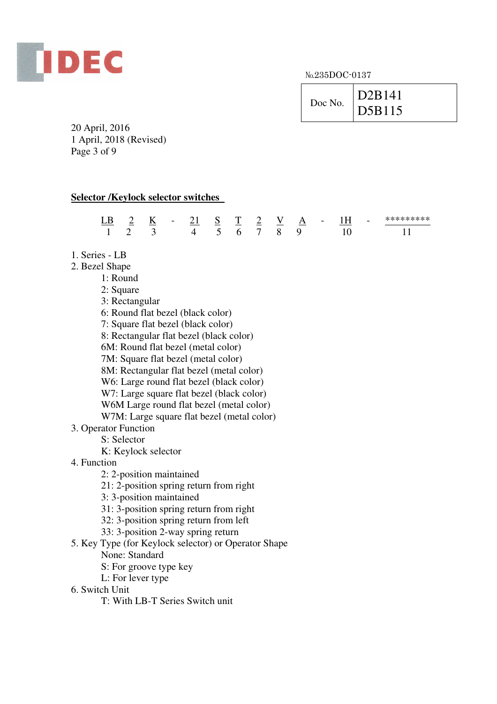

| D <sub>2</sub> B <sub>141</sub><br>Doc No.<br>D5B115 |
|------------------------------------------------------|
|------------------------------------------------------|

20 April, 2016 1 April, 2018 (Revised) Page 3 of 9

## **Selector /Keylock selector switches**

| .В | $\sim$ | $\overline{\phantom{a}}$ | $\overline{\phantom{0}}$ | - 1         | S.<br>$\sim$ | Τ<br>$\sim$ | $\overline{\phantom{0}}$<br>$\sim$ | v<br>$\sim$ | A<br>___ | $\sim$ $\sim$ | . . | $\overline{\phantom{a}}$ | ملمات<br>als als als als als als als<br>-- |
|----|--------|--------------------------|--------------------------|-------------|--------------|-------------|------------------------------------|-------------|----------|---------------|-----|--------------------------|--------------------------------------------|
|    |        |                          |                          | $\Lambda$ 5 |              | n           |                                    | x           | u        |               |     |                          |                                            |

- 1. Series LB
- 2. Bezel Shape
	- 1: Round
	- 2: Square
	- 3: Rectangular
	- 6: Round flat bezel (black color)
	- 7: Square flat bezel (black color)
	- 8: Rectangular flat bezel (black color)
	- 6M: Round flat bezel (metal color)
	- 7M: Square flat bezel (metal color)
	- 8M: Rectangular flat bezel (metal color)
	- W<sub>6</sub>: Large round flat bezel (black color)
	- W7: Large square flat bezel (black color)
	- W6M Large round flat bezel (metal color)
	- W7M: Large square flat bezel (metal color)
- 3. Operator Function
	- S: Selector
		- K: Keylock selector
- 4. Function
	- 2: 2-position maintained
	- 21: 2-position spring return from right
	- 3: 3-position maintained
	- 31: 3-position spring return from right
	- 32: 3-position spring return from left
	- 33: 3-position 2-way spring return
- 5. Key Type (for Keylock selector) or Operator Shape
	- None: Standard
	- S: For groove type key
	- L: For lever type
- 6. Switch Unit
	- T: With LB-T Series Switch unit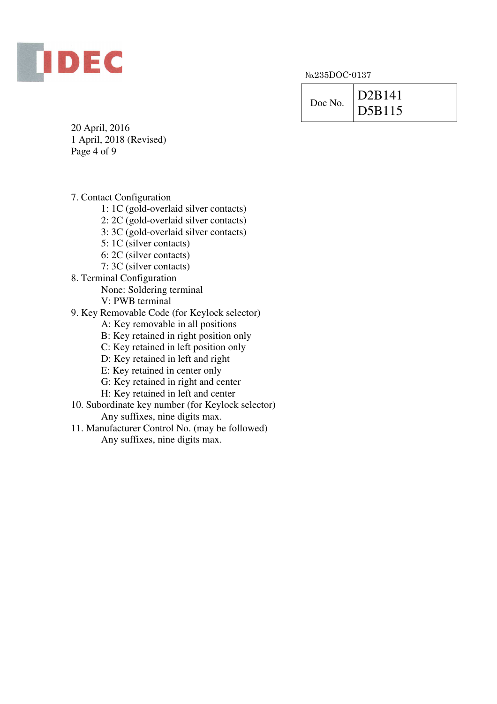

| Doc No. | D2B141 |
|---------|--------|
|         | D5B115 |

20 April, 2016 1 April, 2018 (Revised) Page 4 of 9

7. Contact Configuration

1: 1C (gold-overlaid silver contacts)

2: 2C (gold-overlaid silver contacts)

3: 3C (gold-overlaid silver contacts)

5: 1C (silver contacts)

6: 2C (silver contacts)

- 7: 3C (silver contacts)
- 8. Terminal Configuration

None: Soldering terminal

V: PWB terminal

9. Key Removable Code (for Keylock selector)

A: Key removable in all positions

B: Key retained in right position only

C: Key retained in left position only

D: Key retained in left and right

E: Key retained in center only

G: Key retained in right and center

H: Key retained in left and center

10. Subordinate key number (for Keylock selector) Any suffixes, nine digits max.

11. Manufacturer Control No. (may be followed) Any suffixes, nine digits max.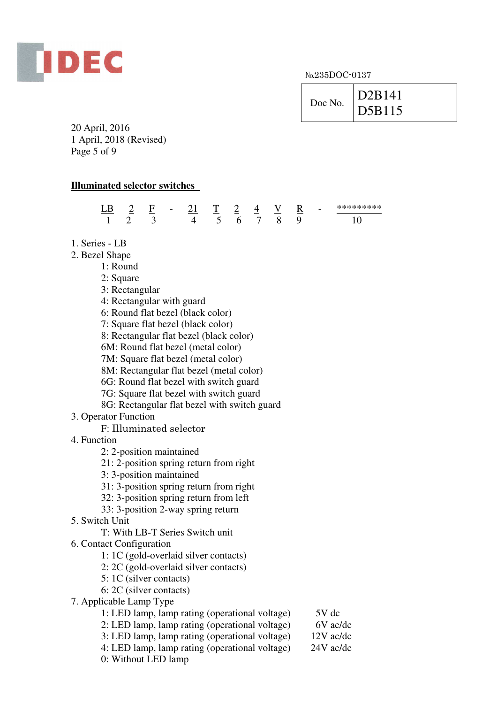

| D <sub>2</sub> B <sub>141</sub><br>Doc No.<br>D5B115 |
|------------------------------------------------------|
|------------------------------------------------------|

20 April, 2016 1 April, 2018 (Revised) Page 5 of 9

### **Illuminated selector switches**

| $\mathbf R$ | ⊷ | $\overline{\phantom{0}}$<br>$\overline{\phantom{0}}$ | $\overline{\phantom{a}}$ | ∸<br>__ | ᅮ<br>$\sim$ |   | R | $\overline{\phantom{a}}$ | ******* |
|-------------|---|------------------------------------------------------|--------------------------|---------|-------------|---|---|--------------------------|---------|
| -           |   |                                                      |                          | h       |             | x | ◡ |                          |         |

- 1. Series LB
- 2. Bezel Shape
	- 1: Round
	- 2: Square
	- 3: Rectangular
	- 4: Rectangular with guard
	- 6: Round flat bezel (black color)
	- 7: Square flat bezel (black color)
	- 8: Rectangular flat bezel (black color)
	- 6M: Round flat bezel (metal color)
	- 7M: Square flat bezel (metal color)
	- 8M: Rectangular flat bezel (metal color)
	- 6G: Round flat bezel with switch guard
	- 7G: Square flat bezel with switch guard
	- 8G: Rectangular flat bezel with switch guard
- 3. Operator Function

F: Illuminated selector

- 4. Function
	- 2: 2-position maintained
	- 21: 2-position spring return from right
	- 3: 3-position maintained
	- 31: 3-position spring return from right
	- 32: 3-position spring return from left
	- 33: 3-position 2-way spring return
- 5. Switch Unit
	- T: With LB-T Series Switch unit
- 6. Contact Configuration
	- 1: 1C (gold-overlaid silver contacts)
	- 2: 2C (gold-overlaid silver contacts)
	- 5: 1C (silver contacts)
	- 6: 2C (silver contacts)
- 7. Applicable Lamp Type
	- 1: LED lamp, lamp rating (operational voltage) 5V dc
	- 2: LED lamp, lamp rating (operational voltage) 6V ac/dc

3: LED lamp, lamp rating (operational voltage) 12V ac/dc

- 4: LED lamp, lamp rating (operational voltage) 24V ac/dc
- 0: Without LED lamp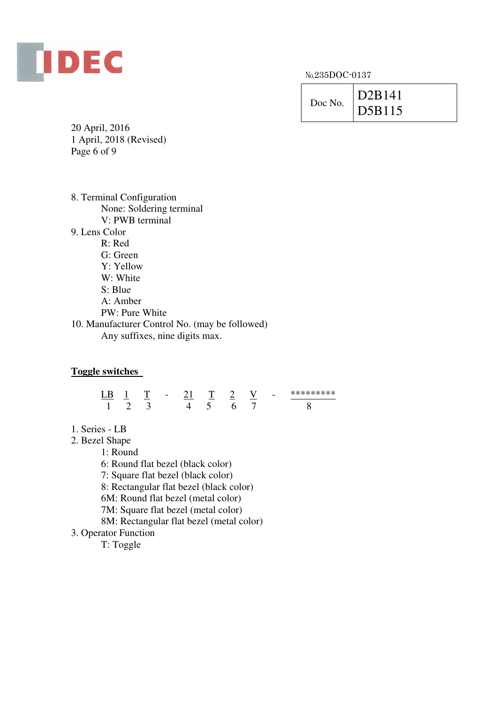

| Doc No. | D2B141 |
|---------|--------|
|         | D5B115 |

20 April, 2016 1 April, 2018 (Revised) Page 6 of 9

| 8. Terminal Configuration                      |
|------------------------------------------------|
| None: Soldering terminal                       |
| V: PWB terminal                                |
| 9. Lens Color                                  |
| R: Red                                         |
| G: Green                                       |
| Y: Yellow                                      |
| W: White                                       |
| S: Blue                                        |
| $A:$ Amber                                     |
| PW: Pure White                                 |
| 10. Manufacturer Control No. (may be followed) |
| Any suffixes, nine digits max.                 |
|                                                |

# **Toggle switches**

| $\cdot$ |  | $\overline{\phantom{a}}$ |  | $\sim$ | $\overline{\phantom{a}}$ | ********* |
|---------|--|--------------------------|--|--------|--------------------------|-----------|
|         |  |                          |  |        |                          |           |

1. Series - LB

2. Bezel Shape

1: Round

6: Round flat bezel (black color)

7: Square flat bezel (black color)

8: Rectangular flat bezel (black color)

6M: Round flat bezel (metal color)

7M: Square flat bezel (metal color)

8M: Rectangular flat bezel (metal color)

3. Operator Function

T: Toggle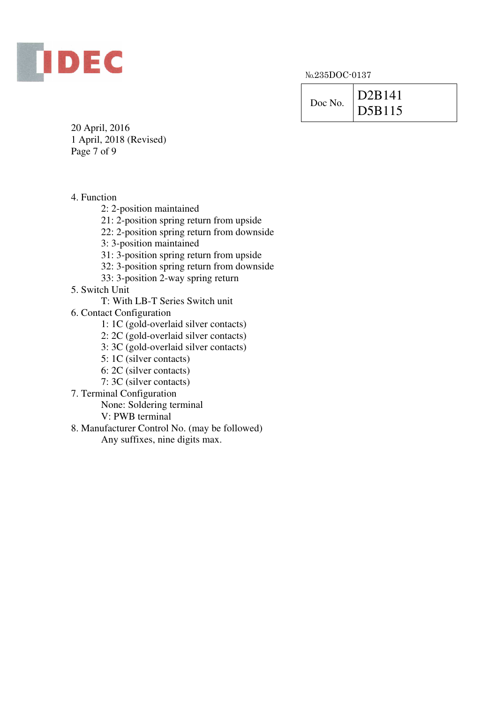

| Doc No. | D2B141 |  |  |  |  |  |
|---------|--------|--|--|--|--|--|
|         | DB115  |  |  |  |  |  |

20 April, 2016 1 April, 2018 (Revised) Page 7 of 9

4. Function

2: 2-position maintained

21: 2-position spring return from upside

22: 2-position spring return from downside

3: 3-position maintained

31: 3-position spring return from upside

- 32: 3-position spring return from downside
- 33: 3-position 2-way spring return

5. Switch Unit

T: With LB-T Series Switch unit

6. Contact Configuration

1: 1C (gold-overlaid silver contacts)

- 2: 2C (gold-overlaid silver contacts)
- 3: 3C (gold-overlaid silver contacts)
- 5: 1C (silver contacts)
- 6: 2C (silver contacts)
- 7: 3C (silver contacts)
- 7. Terminal Configuration

None: Soldering terminal

V: PWB terminal

8. Manufacturer Control No. (may be followed) Any suffixes, nine digits max.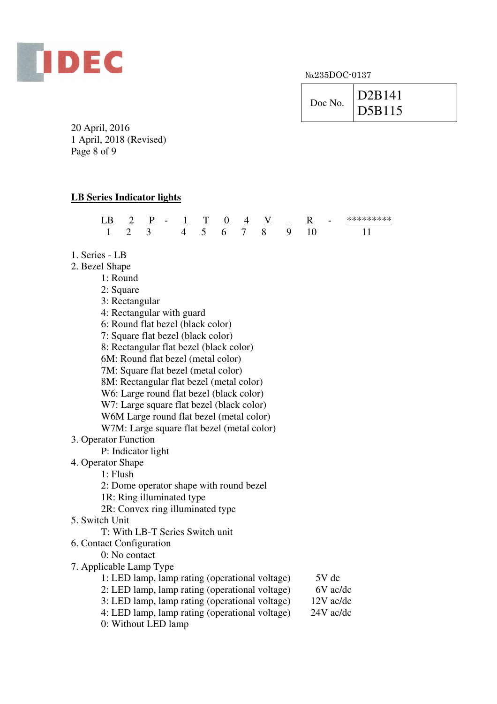

| Doc No. | D <sub>2</sub> B <sub>141</sub><br>D5B115 |
|---------|-------------------------------------------|
|         |                                           |

20 April, 2016 1 April, 2018 (Revised) Page 8 of 9

## **LB Series Indicator lights**

|        | $\overline{\phantom{a}}$ | $\sim$ | $\overline{\phantom{0}}$ | $\sim$ | -<br>$\sim$ | ິ<br>$\sim$ | ↵<br>__ | ---- | $\overline{\phantom{a}}$ | $\sim$ | $\overline{\phantom{0}}$ | أمله مله مله مله مله مله مله مله مله مله<br>- 75 - 75 |
|--------|--------------------------|--------|--------------------------|--------|-------------|-------------|---------|------|--------------------------|--------|--------------------------|-------------------------------------------------------|
| $\sim$ |                          |        |                          |        |             | h           |         |      | ∼                        |        |                          |                                                       |

- 1. Series LB
- 2. Bezel Shape
	- 1: Round
	- 2: Square
	- 3: Rectangular
	- 4: Rectangular with guard
	- 6: Round flat bezel (black color)
	- 7: Square flat bezel (black color)
	- 8: Rectangular flat bezel (black color)
	- 6M: Round flat bezel (metal color)
	- 7M: Square flat bezel (metal color)
	- 8M: Rectangular flat bezel (metal color)
	- W6: Large round flat bezel (black color)
	- W7: Large square flat bezel (black color)
	- W6M Large round flat bezel (metal color)
	- W7M: Large square flat bezel (metal color)
- 3. Operator Function
	- P: Indicator light
- 4. Operator Shape
	- 1: Flush
	- 2: Dome operator shape with round bezel
	- 1R: Ring illuminated type
	- 2R: Convex ring illuminated type
- 5. Switch Unit
	- T: With LB-T Series Switch unit
- 6. Contact Configuration
	- 0: No contact
- 7. Applicable Lamp Type
	- 1: LED lamp, lamp rating (operational voltage) 5V dc 2: LED lamp, lamp rating (operational voltage) 6V ac/dc<br>3: LED lamp, lamp rating (operational voltage) 12V ac/dc 3: LED lamp, lamp rating (operational voltage)
	- 4: LED lamp, lamp rating (operational voltage) 24V ac/dc
	- 0: Without LED lamp